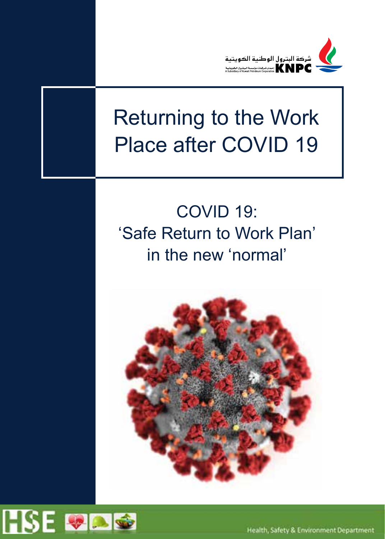

# Returning to the Work Place after COVID 19

# COVID 19: 'Safe Return to Work Plan' in the new 'normal'



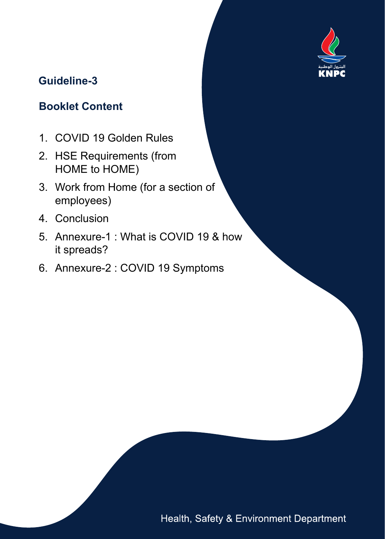

# **Guideline-3**

# **Booklet Content**

- 1. COVID 19 Golden Rules
- 2. HSE Requirements (from HOME to HOME)
- 3. Work from Home (for a section of employees)
- 4. Conclusion
- 5. Annexure-1 : What is COVID 19 & how it spreads?
- 6. Annexure-2 : COVID 19 Symptoms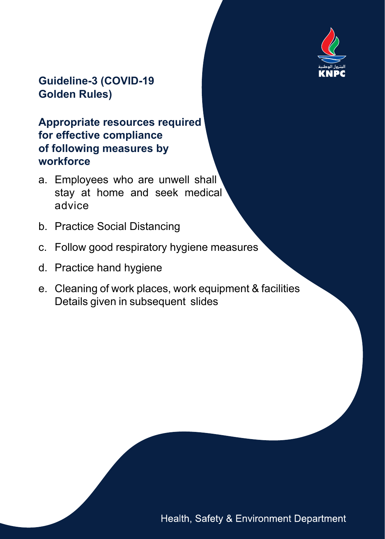

#### **Guideline-3 (COVID-19 Golden Rules)**

#### **Appropriate resources required for effective compliance of following measures by workforce**

- a. Employees who are unwell shall stay at home and seek medical advice
- b. Practice Social Distancing
- c. Follow good respiratory hygiene measures
- d. Practice hand hygiene
- e. Cleaning of work places, work equipment & facilities Details given in subsequent slides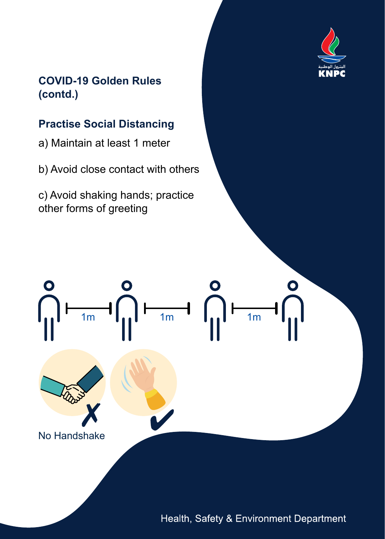

#### **COVID-19 Golden Rules (contd.)**

### **Practise Social Distancing**

a) Maintain at least 1 meter

b) Avoid close contact with others

c) Avoid shaking hands; practice other forms of greeting

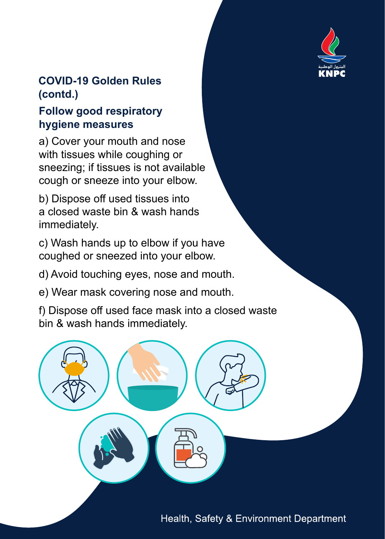

### **COVID-19 Golden Rules (contd.)**

#### **Follow good respiratory hygiene measures**

a) Cover your mouth and nose with tissues while coughing or sneezing; if tissues is not available cough or sneeze into your elbow.

b) Dispose off used tissues into a closed waste bin & wash hands immediately.

c) Wash hands up to elbow if you have coughed or sneezed into your elbow.

d) Avoid touching eyes, nose and mouth.

e) Wear mask covering nose and mouth.

f) Dispose off used face mask into a closed waste bin & wash hands immediately.

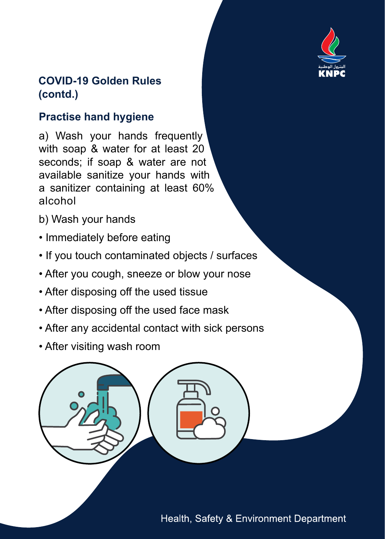

#### **COVID-19 Golden Rules (contd.)**

# **Practise hand hygiene**

a) Wash your hands frequently with soap & water for at least 20 seconds; if soap & water are not available sanitize your hands with a sanitizer containing at least 60% alcohol

- b) Wash your hands
- Immediately before eating
- If you touch contaminated objects / surfaces
- After you cough, sneeze or blow your nose
- After disposing off the used tissue
- After disposing off the used face mask
- After any accidental contact with sick persons
- After visiting wash room

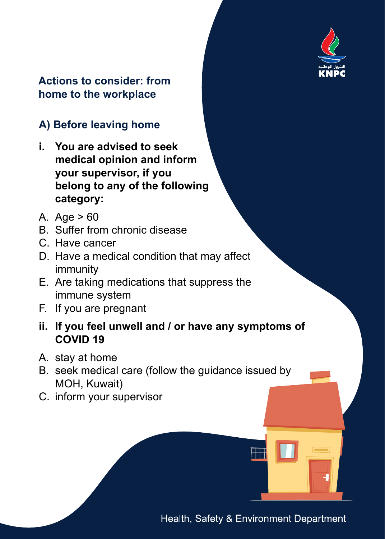

#### **Actions to consider: from home to the workplace**

# **A) Before leaving home**

- **i. You are advised to seek medical opinion and inform your supervisor, if you belong to any of the following category:**
- A. Age > 60
- B. Suffer from chronic disease
- C. Have cancer
- D. Have a medical condition that may affect immunity
- E. Are taking medications that suppress the immune system
- F. If you are pregnant
- **ii. If you feel unwell and / or have any symptoms of COVID 19**
- A. stay at home
- B. seek medical care (follow the guidance issued by MOH, Kuwait)
- C. inform your supervisor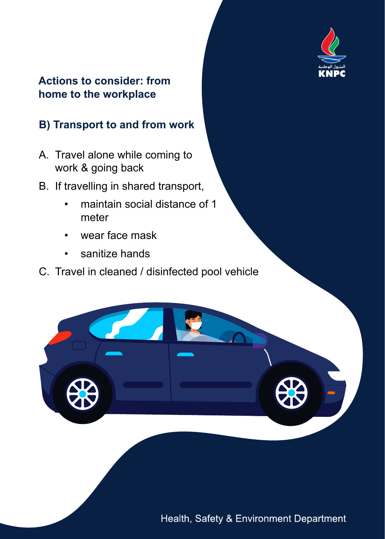

#### **Actions to consider: from home to the workplace**

# **B) Transport to and from work**

- A. Travel alone while coming to work & going back
- B. If travelling in shared transport,
	- maintain social distance of 1 meter
	- wear face mask
	- sanitize hands
- C. Travel in cleaned / disinfected pool vehicle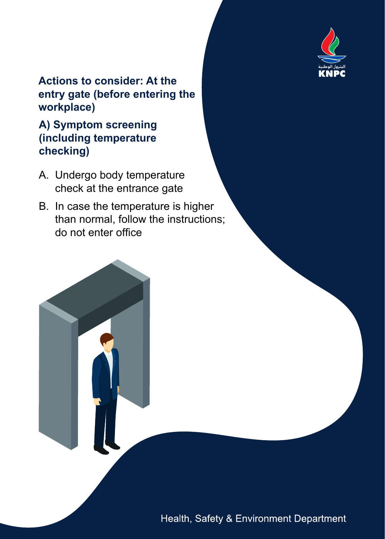

#### **Actions to consider: At the entry gate (before entering the workplace)**

#### **A) Symptom screening (including temperature checking)**

- A. Undergo body temperature check at the entrance gate
- B. In case the temperature is higher than normal, follow the instructions; do not enter office

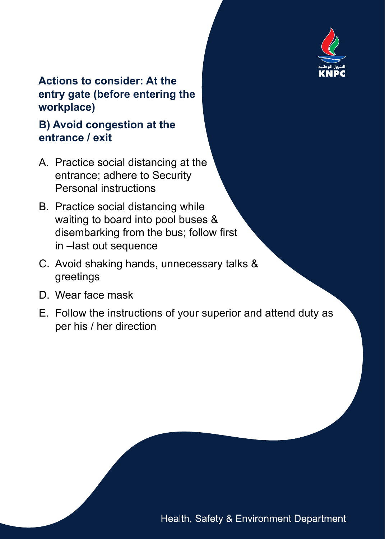

#### **Actions to consider: At the entry gate (before entering the workplace)**

#### **B) Avoid congestion at the entrance / exit**

- A. Practice social distancing at the entrance; adhere to Security Personal instructions
- B. Practice social distancing while waiting to board into pool buses & disembarking from the bus; follow first in –last out sequence
- C. Avoid shaking hands, unnecessary talks & greetings
- D. Wear face mask
- E. Follow the instructions of your superior and attend duty as per his / her direction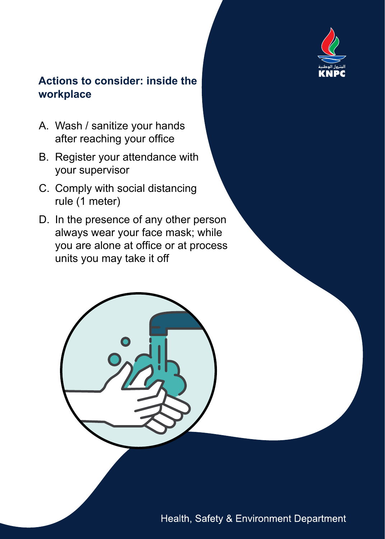

- A. Wash / sanitize your hands after reaching your office
- B. Register your attendance with your supervisor
- C. Comply with social distancing rule (1 meter)
- D. In the presence of any other person always wear your face mask; while you are alone at office or at process units you may take it off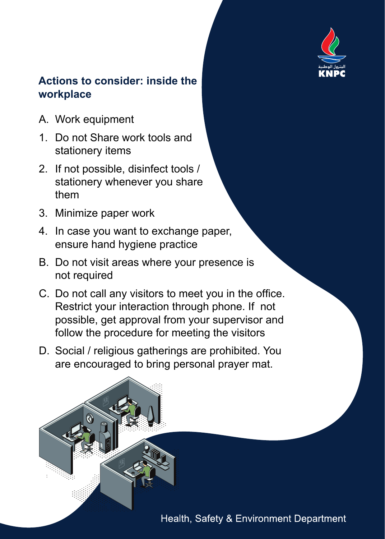

- A. Work equipment
- 1. Do not Share work tools and stationery items
- 2. If not possible, disinfect tools / stationery whenever you share them
- 3. Minimize paper work
- 4. In case you want to exchange paper, ensure hand hygiene practice
- B. Do not visit areas where your presence is not required
- C. Do not call any visitors to meet you in the office. Restrict your interaction through phone. If not possible, get approval from your supervisor and follow the procedure for meeting the visitors
- D. Social / religious gatherings are prohibited. You are encouraged to bring personal prayer mat.

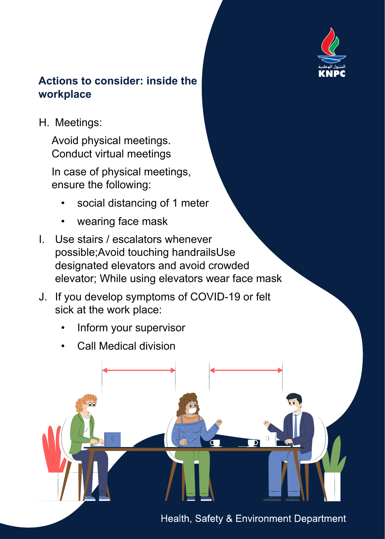

H. Meetings:

Avoid physical meetings. Conduct virtual meetings

In case of physical meetings, ensure the following:

- social distancing of 1 meter
- wearing face mask
- I. Use stairs / escalators whenever possible;Avoid touching handrailsUse designated elevators and avoid crowded elevator; While using elevators wear face mask
- J. If you develop symptoms of COVID-19 or felt sick at the work place:
	- Inform your supervisor
	- Call Medical division



Health, Safety & Environment Department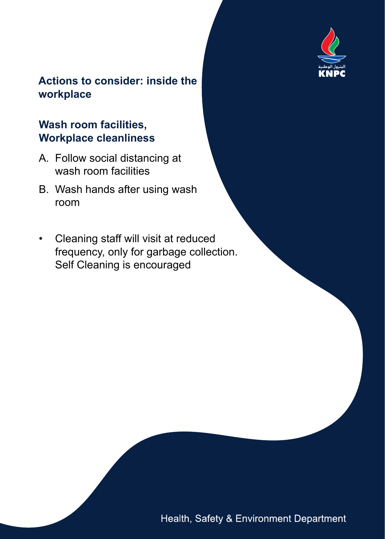

#### **Wash room facilities, Workplace cleanliness**

- A. Follow social distancing at wash room facilities
- B. Wash hands after using wash room
- Cleaning staff will visit at reduced frequency, only for garbage collection. Self Cleaning is encouraged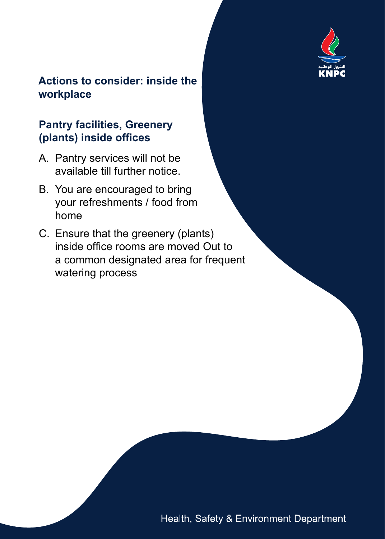

#### **Pantry facilities, Greenery (plants) inside offices**

- A. Pantry services will not be available till further notice.
- B. You are encouraged to bring your refreshments / food from home
- C. Ensure that the greenery (plants) inside office rooms are moved Out to a common designated area for frequent watering process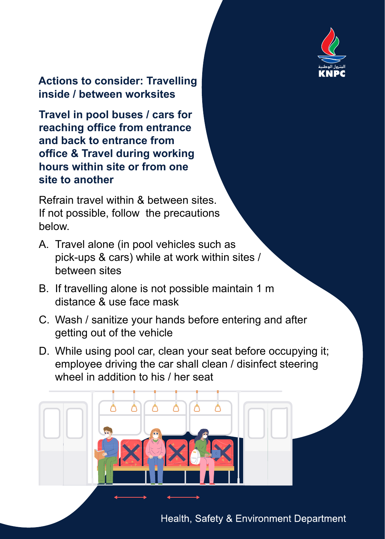

**Actions to consider: Travelling inside / between worksites**

**Travel in pool buses / cars for reaching office from entrance and back to entrance from office & Travel during working hours within site or from one site to another**

Refrain travel within & between sites. If not possible, follow the precautions below.

- A. Travel alone (in pool vehicles such as pick-ups & cars) while at work within sites / between sites
- B. If travelling alone is not possible maintain 1 m distance & use face mask
- C. Wash / sanitize your hands before entering and after getting out of the vehicle
- D. While using pool car, clean your seat before occupying it; employee driving the car shall clean / disinfect steering wheel in addition to his / her seat

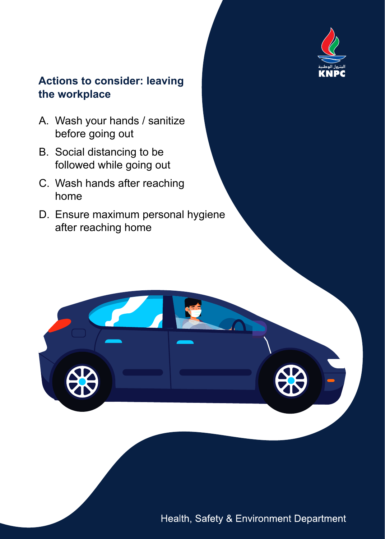

#### **Actions to consider: leaving the workplace**

- A. Wash your hands / sanitize before going out
- B. Social distancing to be followed while going out
- C. Wash hands after reaching home
- D. Ensure maximum personal hygiene after reaching home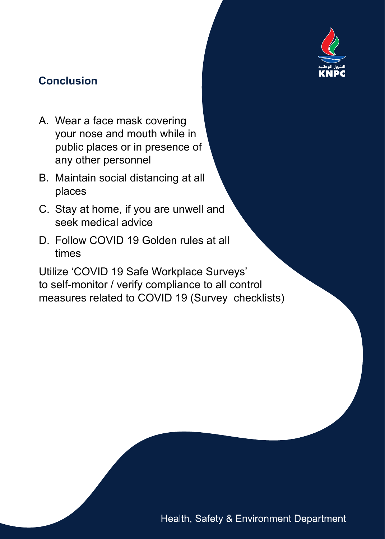

# **Conclusion**

- A. Wear a face mask covering your nose and mouth while in public places or in presence of any other personnel
- B. Maintain social distancing at all places
- C. Stay at home, if you are unwell and seek medical advice
- D. Follow COVID 19 Golden rules at all times

Utilize 'COVID 19 Safe Workplace Surveys' to self-monitor / verify compliance to all control measures related to COVID 19 (Survey checklists)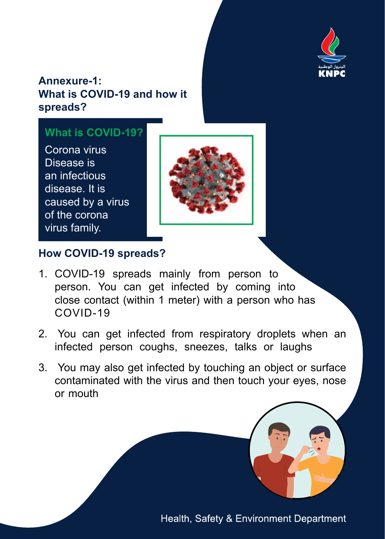

#### **Annexure-1: What is COVID-19 and how it spreads?**

#### **What is COVID-19?**

Corona virus Disease is an infectious disease. It is caused by a virus of the corona virus family.



#### **How COVID-19 spreads?**

- 1. COVID-19 spreads mainly from person to person. You can get infected by coming into close contact (within 1 meter) with a person who has COVID-19
- 2. You can get infected from respiratory droplets when an infected person coughs, sneezes, talks or laughs
- 3. You may also get infected by touching an object or surface contaminated with the virus and then touch your eyes, nose or mouth

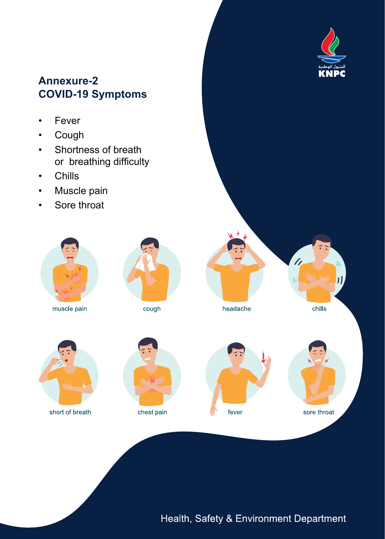